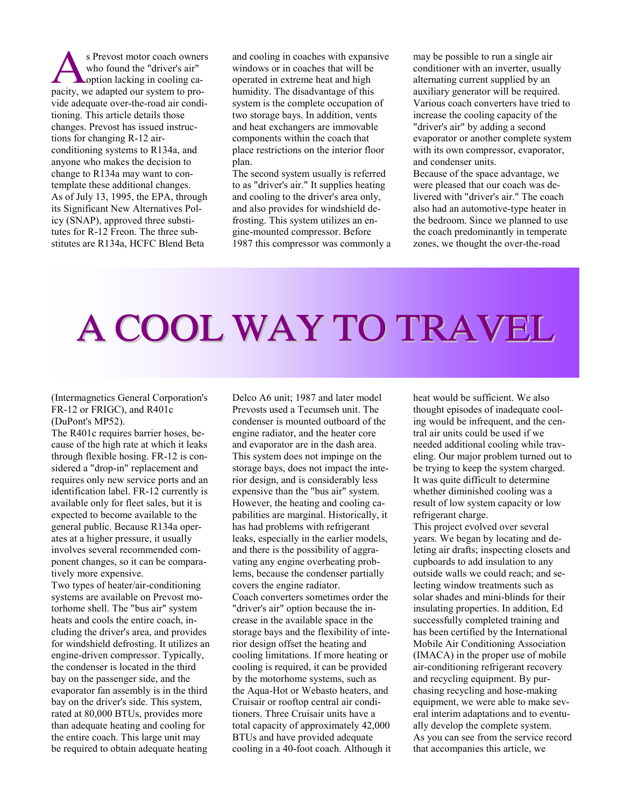s Prevost motor coach owners who found the "driver's air" **L**option lacking in cooling ca-S Prevost motor coach owner<br>who found the "driver's air"<br>option lacking in cooling ca-<br>pacity, we adapted our system to provide adequate over-the-road air conditioning. This article details those changes. Prevost has issued instructions for changing R-12 airconditioning systems to R134a, and anyone who makes the decision to change to R134a may want to contemplate these additional changes. As of July 13, 1995, the EPA, through its Significant New Alternatives Policy (SNAP), approved three substitutes for R-12 Freon. The three substitutes are R134a, HCFC Blend Beta

and cooling in coaches with expansive windows or in coaches that will be operated in extreme heat and high humidity. The disadvantage of this system is the complete occupation of two storage bays. In addition, vents and heat exchangers are immovable components within the coach that place restrictions on the interior floor plan.

The second system usually is referred to as "driver's air." It supplies heating and cooling to the driver's area only, and also provides for windshield defrosting. This system utilizes an engine-mounted compressor. Before 1987 this compressor was commonly a may be possible to run a single air conditioner with an inverter, usually alternating current supplied by an auxiliary generator will be required. Various coach converters have tried to increase the cooling capacity of the "driver's air" by adding a second evaporator or another complete system with its own compressor, evaporator, and condenser units.

Because of the space advantage, we were pleased that our coach was delivered with "driver's air." The coach also had an automotive-type heater in the bedroom. Since we planned to use the coach predominantly in temperate zones, we thought the over-the-road

## A COOL WAY TO TRAVEL

(Intermagnetics General Corporation's FR-12 or FRIGC), and R401c (DuPont's MP52).

The R401c requires barrier hoses, because of the high rate at which it leaks through flexible hosing. FR-12 is considered a "drop-in" replacement and requires only new service ports and an identification label. FR-12 currently is available only for fleet sales, but it is expected to become available to the general public. Because R134a operates at a higher pressure, it usually involves several recommended component changes, so it can be comparatively more expensive.

Two types of heater/air-conditioning systems are available on Prevost motorhome shell. The "bus air" system heats and cools the entire coach, including the driver's area, and provides for windshield defrosting. It utilizes an engine-driven compressor. Typically, the condenser is located in the third bay on the passenger side, and the evaporator fan assembly is in the third bay on the driver's side. This system, rated at 80,000 BTUs, provides more than adequate heating and cooling for the entire coach. This large unit may be required to obtain adequate heating

Delco A6 unit; 1987 and later model Prevosts used a Tecumseh unit. The condenser is mounted outboard of the engine radiator, and the heater core and evaporator are in the dash area. This system does not impinge on the storage bays, does not impact the interior design, and is considerably less expensive than the "bus air" system. However, the heating and cooling capabilities are marginal. Historically, it has had problems with refrigerant leaks, especially in the earlier models, and there is the possibility of aggravating any engine overheating problems, because the condenser partially covers the engine radiator. Coach converters sometimes order the "driver's air" option because the increase in the available space in the storage bays and the flexibility of interior design offset the heating and cooling limitations. If more heating or cooling is required, it can be provided by the motorhome systems, such as the Aqua-Hot or Webasto heaters, and Cruisair or rooftop central air conditioners. Three Cruisair units have a total capacity of approximately 42,000 BTUs and have provided adequate cooling in a 40-foot coach. Although it heat would be sufficient. We also thought episodes of inadequate cooling would be infrequent, and the central air units could be used if we needed additional cooling while traveling. Our major problem turned out to be trying to keep the system charged. It was quite difficult to determine whether diminished cooling was a result of low system capacity or low refrigerant charge.

This project evolved over several years. We began by locating and deleting air drafts; inspecting closets and cupboards to add insulation to any outside walls we could reach; and selecting window treatments such as solar shades and mini-blinds for their insulating properties. In addition, Ed successfully completed training and has been certified by the International Mobile Air Conditioning Association (IMACA) in the proper use of mobile air-conditioning refrigerant recovery and recycling equipment. By purchasing recycling and hose-making equipment, we were able to make several interim adaptations and to eventually develop the complete system. As you can see from the service record that accompanies this article, we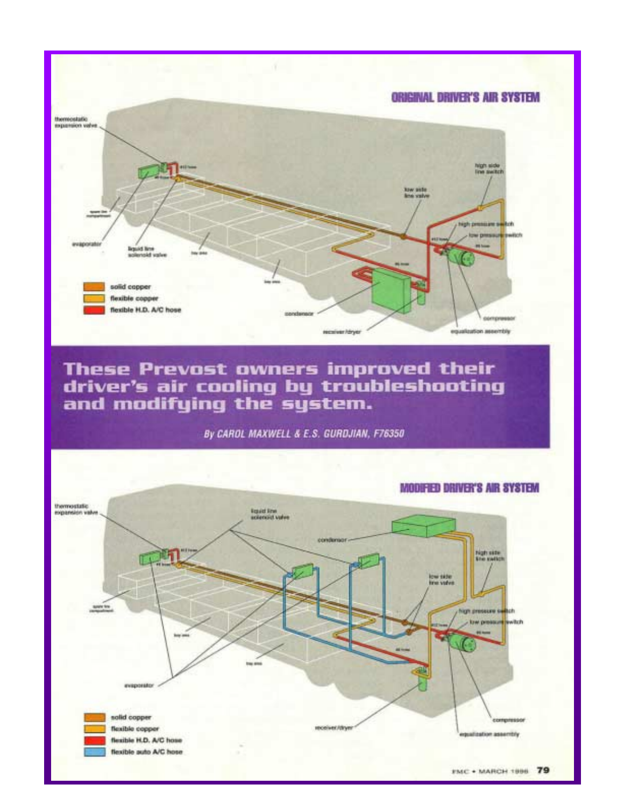

# These Prevost owners improved their<br>driver's air cooling by troubleshooting<br>and modifying the system.





#### **MODIFIED DRIVER'S AIR SYSTEM**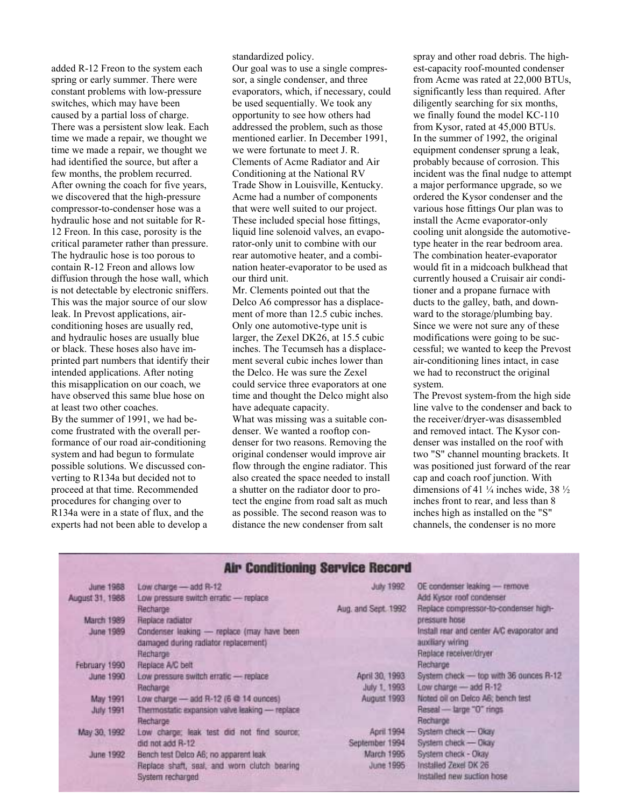added R-12 Freon to the system each spring or early summer. There were constant problems with low-pressure switches, which may have been caused by a partial loss of charge. There was a persistent slow leak. Each time we made a repair, we thought we time we made a repair, we thought we had identified the source, but after a few months, the problem recurred. After owning the coach for five years, we discovered that the high-pressure compressor-to-condenser hose was a hydraulic hose and not suitable for R-12 Freon. In this case, porosity is the critical parameter rather than pressure. The hydraulic hose is too porous to contain R-12 Freon and allows low diffusion through the hose wall, which is not detectable by electronic sniffers. This was the major source of our slow leak. In Prevost applications, airconditioning hoses are usually red, and hydraulic hoses are usually blue or black. These hoses also have imprinted part numbers that identify their intended applications. After noting this misapplication on our coach, we have observed this same blue hose on at least two other coaches. By the summer of 1991, we had become frustrated with the overall performance of our road air-conditioning system and had begun to formulate possible solutions. We discussed converting to R134a but decided not to proceed at that time. Recommended

procedures for changing over to R134a were in a state of flux, and the experts had not been able to develop a standardized policy.

Our goal was to use a single compressor, a single condenser, and three evaporators, which, if necessary, could be used sequentially. We took any opportunity to see how others had addressed the problem, such as those mentioned earlier. In December 1991, we were fortunate to meet J. R. Clements of Acme Radiator and Air Conditioning at the National RV Trade Show in Louisville, Kentucky. Acme had a number of components that were well suited to our project. These included special hose fittings, liquid line solenoid valves, an evaporator-only unit to combine with our rear automotive heater, and a combination heater-evaporator to be used as our third unit.

Mr. Clements pointed out that the Delco A6 compressor has a displacement of more than 12.5 cubic inches. Only one automotive-type unit is larger, the Zexel DK26, at 15.5 cubic inches. The Tecumseh has a displacement several cubic inches lower than the Delco. He was sure the Zexel could service three evaporators at one time and thought the Delco might also have adequate capacity.

What was missing was a suitable condenser. We wanted a rooftop condenser for two reasons. Removing the original condenser would improve air flow through the engine radiator. This also created the space needed to install a shutter on the radiator door to protect the engine from road salt as much as possible. The second reason was to distance the new condenser from salt

spray and other road debris. The highest-capacity roof-mounted condenser from Acme was rated at 22,000 BTUs, significantly less than required. After diligently searching for six months, we finally found the model KC-110 from Kysor, rated at 45,000 BTUs. In the summer of 1992, the original equipment condenser sprung a leak, probably because of corrosion. This incident was the final nudge to attempt a major performance upgrade, so we ordered the Kysor condenser and the various hose fittings Our plan was to install the Acme evaporator-only cooling unit alongside the automotivetype heater in the rear bedroom area. The combination heater-evaporator would fit in a midcoach bulkhead that currently housed a Cruisair air conditioner and a propane furnace with ducts to the galley, bath, and downward to the storage/plumbing bay. Since we were not sure any of these modifications were going to be successful; we wanted to keep the Prevost air-conditioning lines intact, in case we had to reconstruct the original system.

The Prevost system-from the high side line valve to the condenser and back to the receiver/dryer-was disassembled and removed intact. The Kysor condenser was installed on the roof with two "S" channel mounting brackets. It was positioned just forward of the rear cap and coach roof junction. With dimensions of 41  $\frac{1}{4}$  inches wide, 38  $\frac{1}{2}$ inches front to rear, and less than 8 inches high as installed on the "S" channels, the condenser is no more

### **Air Conditioning Service Record**

| <b>June 1968</b>  | Low charge - add R-12                          | July 1992           | OE condenser leaking - remove              |
|-------------------|------------------------------------------------|---------------------|--------------------------------------------|
| August 31, 1988   | Low pressure switch erratic - replace          |                     | Add Kysor roof condenser                   |
|                   | Recharge                                       | Aug. and Sept. 1992 | Replace compressor-to-condenser high-      |
| <b>March 1989</b> | Replace radiator                               |                     | pressure hose                              |
| <b>June 1989</b>  | Condenser leaking - replace (may have been     |                     | Install rear and center A/C evaporator and |
|                   | damaged during radiator replacement)           |                     | auxiliary wiring                           |
|                   | Recharge                                       |                     | Replace receiven/dryer                     |
| February 1990     | Replace A/C belt                               |                     | Recharge                                   |
| June 1990         | Low pressure switch erratic - replace          | April 30, 1993      | System check - top with 36 ounces R-12     |
|                   | Recharge                                       | July 1, 1993        | Low charge $-$ add $R-12$                  |
| May 1991          | Low charge $-$ add R-12 (6 $@$ 14 ounces)      | August 1993         | Noted oil on Delco A6; bench test          |
| <b>July 1991</b>  | Thermostatic expansion valve leaking - replace |                     | Reseal - large "0" rings                   |
|                   | Recharge                                       |                     | Recharge                                   |
| May 30, 1992      | Low charge; leak test did not find source;     | April 1994          | System check - Okay                        |
|                   | did not add R-12                               | September 1994      | System check - Okay                        |
| June 1992         | Bench test Delco A6; no apparent leak          | <b>March 1995</b>   | System check - Okay                        |
|                   | Replace shaft, seal, and worn clutch bearing   | June 1996           | Installed Zexel DK 26                      |
|                   | System recharged                               |                     | Installed new suction hose                 |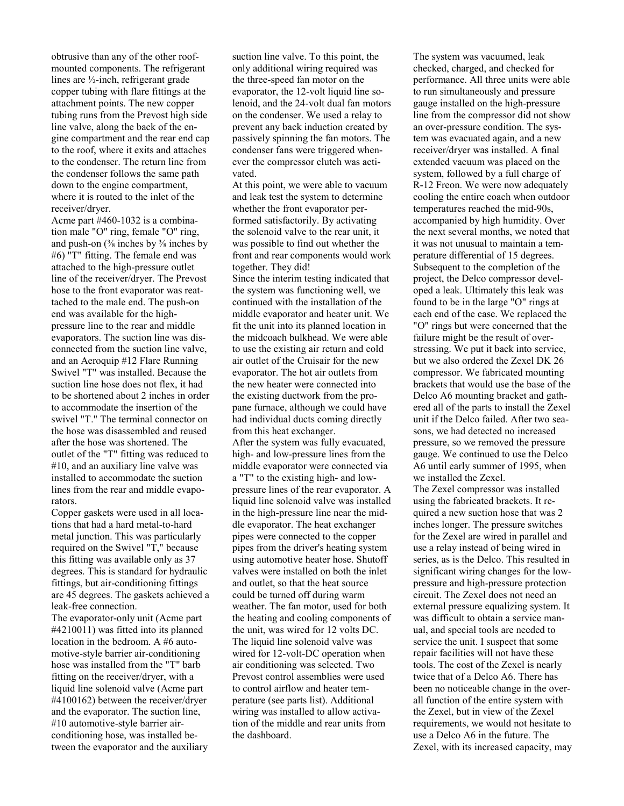obtrusive than any of the other roofmounted components. The refrigerant lines are ½-inch, refrigerant grade copper tubing with flare fittings at the attachment points. The new copper tubing runs from the Prevost high side line valve, along the back of the engine compartment and the rear end cap to the roof, where it exits and attaches to the condenser. The return line from the condenser follows the same path down to the engine compartment, where it is routed to the inlet of the receiver/dryer.

Acme part #460-1032 is a combination male "O" ring, female "O" ring, and push-on  $(\frac{3}{8})$  inches by  $\frac{3}{8}$  inches by #6) "T" fitting. The female end was attached to the high-pressure outlet line of the receiver/dryer. The Prevost hose to the front evaporator was reattached to the male end. The push-on end was available for the highpressure line to the rear and middle evaporators. The suction line was disconnected from the suction line valve, and an Aeroquip #12 Flare Running Swivel "T" was installed. Because the suction line hose does not flex, it had to be shortened about 2 inches in order to accommodate the insertion of the swivel "T." The terminal connector on the hose was disassembled and reused after the hose was shortened. The outlet of the "T" fitting was reduced to #10, and an auxiliary line valve was installed to accommodate the suction lines from the rear and middle evaporators.

Copper gaskets were used in all locations that had a hard metal-to-hard metal junction. This was particularly required on the Swivel "T," because this fitting was available only as 37 degrees. This is standard for hydraulic fittings, but air-conditioning fittings are 45 degrees. The gaskets achieved a leak-free connection.

The evaporator-only unit (Acme part #4210011) was fitted into its planned location in the bedroom. A #6 automotive-style barrier air-conditioning hose was installed from the "T" barb fitting on the receiver/dryer, with a liquid line solenoid valve (Acme part #4100162) between the receiver/dryer and the evaporator. The suction line, #10 automotive-style barrier airconditioning hose, was installed between the evaporator and the auxiliary

suction line valve. To this point, the only additional wiring required was the three-speed fan motor on the evaporator, the 12-volt liquid line solenoid, and the 24-volt dual fan motors on the condenser. We used a relay to prevent any back induction created by passively spinning the fan motors. The condenser fans were triggered whenever the compressor clutch was activated.

At this point, we were able to vacuum and leak test the system to determine whether the front evaporator performed satisfactorily. By activating the solenoid valve to the rear unit, it was possible to find out whether the front and rear components would work together. They did!

Since the interim testing indicated that the system was functioning well, we continued with the installation of the middle evaporator and heater unit. We fit the unit into its planned location in the midcoach bulkhead. We were able to use the existing air return and cold air outlet of the Cruisair for the new evaporator. The hot air outlets from the new heater were connected into the existing ductwork from the propane furnace, although we could have had individual ducts coming directly from this heat exchanger.

After the system was fully evacuated, high- and low-pressure lines from the middle evaporator were connected via a "T" to the existing high- and lowpressure lines of the rear evaporator. A liquid line solenoid valve was installed in the high-pressure line near the middle evaporator. The heat exchanger pipes were connected to the copper pipes from the driver's heating system using automotive heater hose. Shutoff valves were installed on both the inlet and outlet, so that the heat source could be turned off during warm weather. The fan motor, used for both the heating and cooling components of the unit, was wired for 12 volts DC. The liquid line solenoid valve was wired for 12-volt-DC operation when air conditioning was selected. Two Prevost control assemblies were used to control airflow and heater temperature (see parts list). Additional wiring was installed to allow activation of the middle and rear units from the dashboard.

The system was vacuumed, leak checked, charged, and checked for performance. All three units were able to run simultaneously and pressure gauge installed on the high-pressure line from the compressor did not show an over-pressure condition. The system was evacuated again, and a new receiver/dryer was installed. A final extended vacuum was placed on the system, followed by a full charge of R-12 Freon. We were now adequately cooling the entire coach when outdoor temperatures reached the mid-90s, accompanied by high humidity. Over the next several months, we noted that it was not unusual to maintain a temperature differential of 15 degrees. Subsequent to the completion of the project, the Delco compressor developed a leak. Ultimately this leak was found to be in the large "O" rings at each end of the case. We replaced the "O" rings but were concerned that the failure might be the result of overstressing. We put it back into service, but we also ordered the Zexel DK 26 compressor. We fabricated mounting brackets that would use the base of the Delco A6 mounting bracket and gathered all of the parts to install the Zexel unit if the Delco failed. After two seasons, we had detected no increased pressure, so we removed the pressure gauge. We continued to use the Delco A6 until early summer of 1995, when we installed the Zexel.

The Zexel compressor was installed using the fabricated brackets. It required a new suction hose that was 2 inches longer. The pressure switches for the Zexel are wired in parallel and use a relay instead of being wired in series, as is the Delco. This resulted in significant wiring changes for the lowpressure and high-pressure protection circuit. The Zexel does not need an external pressure equalizing system. It was difficult to obtain a service manual, and special tools are needed to service the unit. I suspect that some repair facilities will not have these tools. The cost of the Zexel is nearly twice that of a Delco A6. There has been no noticeable change in the overall function of the entire system with the Zexel, but in view of the Zexel requirements, we would not hesitate to use a Delco A6 in the future. The Zexel, with its increased capacity, may